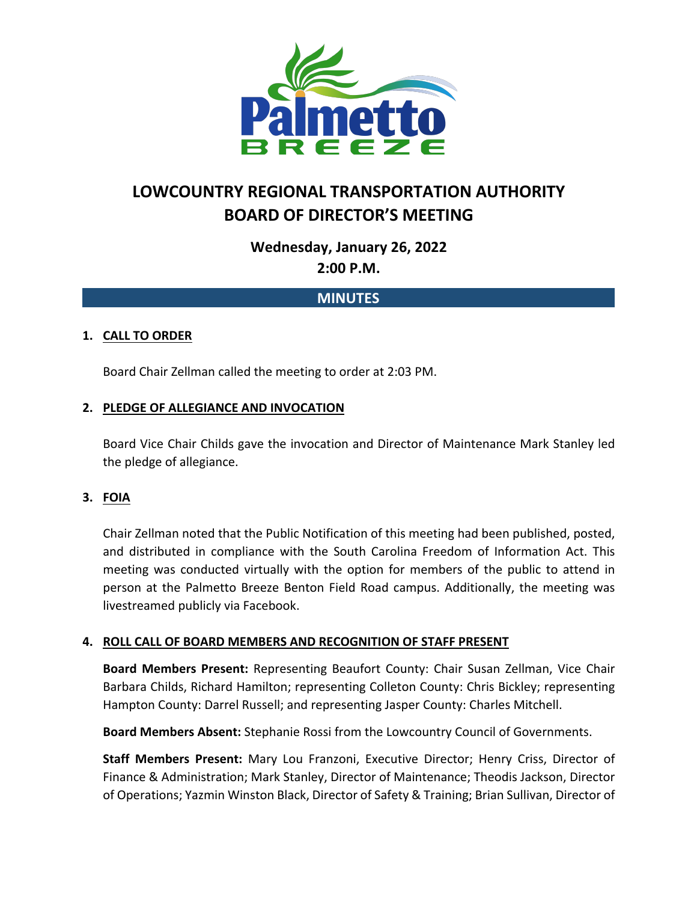

# **LOWCOUNTRY REGIONAL TRANSPORTATION AUTHORITY BOARD OF DIRECTOR'S MEETING**

**Wednesday, January 26, 2022**

**2:00 P.M.**

# **MINUTES**

# **1. CALL TO ORDER**

Board Chair Zellman called the meeting to order at 2:03 PM.

## **2. PLEDGE OF ALLEGIANCE AND INVOCATION**

Board Vice Chair Childs gave the invocation and Director of Maintenance Mark Stanley led the pledge of allegiance.

## **3. FOIA**

Chair Zellman noted that the Public Notification of this meeting had been published, posted, and distributed in compliance with the South Carolina Freedom of Information Act. This meeting was conducted virtually with the option for members of the public to attend in person at the Palmetto Breeze Benton Field Road campus. Additionally, the meeting was livestreamed publicly via Facebook.

## **4. ROLL CALL OF BOARD MEMBERS AND RECOGNITION OF STAFF PRESENT**

**Board Members Present:** Representing Beaufort County: Chair Susan Zellman, Vice Chair Barbara Childs, Richard Hamilton; representing Colleton County: Chris Bickley; representing Hampton County: Darrel Russell; and representing Jasper County: Charles Mitchell.

**Board Members Absent:** Stephanie Rossi from the Lowcountry Council of Governments.

**Staff Members Present:** Mary Lou Franzoni, Executive Director; Henry Criss, Director of Finance & Administration; Mark Stanley, Director of Maintenance; Theodis Jackson, Director of Operations; Yazmin Winston Black, Director of Safety & Training; Brian Sullivan, Director of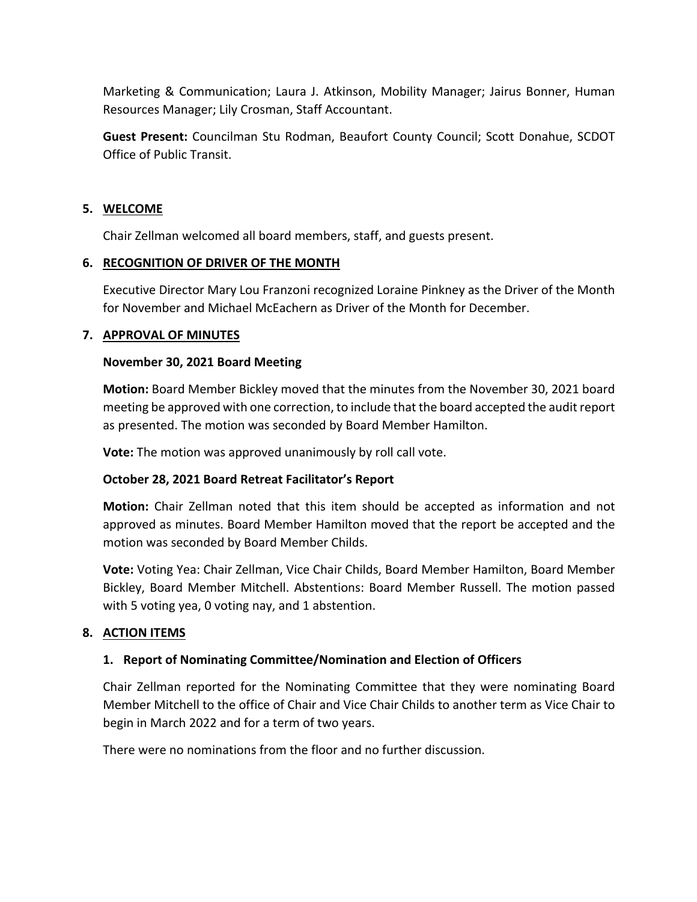Marketing & Communication; Laura J. Atkinson, Mobility Manager; Jairus Bonner, Human Resources Manager; Lily Crosman, Staff Accountant.

**Guest Present:** Councilman Stu Rodman, Beaufort County Council; Scott Donahue, SCDOT Office of Public Transit.

#### **5. WELCOME**

Chair Zellman welcomed all board members, staff, and guests present.

## **6. RECOGNITION OF DRIVER OF THE MONTH**

Executive Director Mary Lou Franzoni recognized Loraine Pinkney as the Driver of the Month for November and Michael McEachern as Driver of the Month for December.

## **7. APPROVAL OF MINUTES**

## **November 30, 2021 Board Meeting**

**Motion:** Board Member Bickley moved that the minutes from the November 30, 2021 board meeting be approved with one correction, to include that the board accepted the audit report as presented. The motion was seconded by Board Member Hamilton.

**Vote:** The motion was approved unanimously by roll call vote.

# **October 28, 2021 Board Retreat Facilitator's Report**

**Motion:** Chair Zellman noted that this item should be accepted as information and not approved as minutes. Board Member Hamilton moved that the report be accepted and the motion was seconded by Board Member Childs.

**Vote:** Voting Yea: Chair Zellman, Vice Chair Childs, Board Member Hamilton, Board Member Bickley, Board Member Mitchell. Abstentions: Board Member Russell. The motion passed with 5 voting yea, 0 voting nay, and 1 abstention.

# **8. ACTION ITEMS**

# **1. Report of Nominating Committee/Nomination and Election of Officers**

Chair Zellman reported for the Nominating Committee that they were nominating Board Member Mitchell to the office of Chair and Vice Chair Childs to another term as Vice Chair to begin in March 2022 and for a term of two years.

There were no nominations from the floor and no further discussion.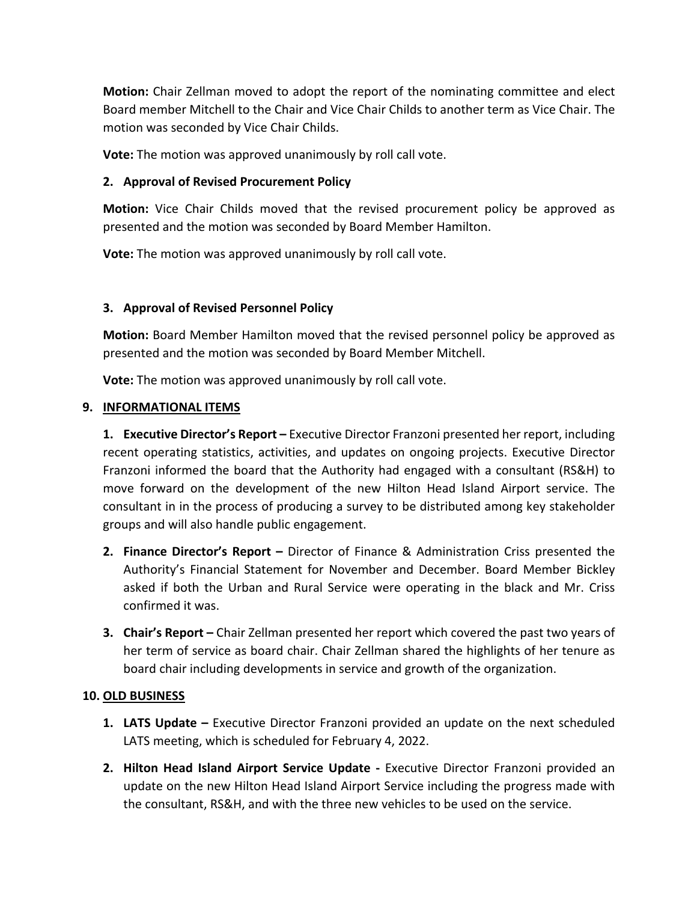**Motion:** Chair Zellman moved to adopt the report of the nominating committee and elect Board member Mitchell to the Chair and Vice Chair Childs to another term as Vice Chair. The motion was seconded by Vice Chair Childs.

**Vote:** The motion was approved unanimously by roll call vote.

## **2. Approval of Revised Procurement Policy**

**Motion:** Vice Chair Childs moved that the revised procurement policy be approved as presented and the motion was seconded by Board Member Hamilton.

**Vote:** The motion was approved unanimously by roll call vote.

## **3. Approval of Revised Personnel Policy**

**Motion:** Board Member Hamilton moved that the revised personnel policy be approved as presented and the motion was seconded by Board Member Mitchell.

**Vote:** The motion was approved unanimously by roll call vote.

## **9. INFORMATIONAL ITEMS**

**1. Executive Director's Report –** Executive Director Franzoni presented her report, including recent operating statistics, activities, and updates on ongoing projects. Executive Director Franzoni informed the board that the Authority had engaged with a consultant (RS&H) to move forward on the development of the new Hilton Head Island Airport service. The consultant in in the process of producing a survey to be distributed among key stakeholder groups and will also handle public engagement.

- **2. Finance Director's Report –** Director of Finance & Administration Criss presented the Authority's Financial Statement for November and December. Board Member Bickley asked if both the Urban and Rural Service were operating in the black and Mr. Criss confirmed it was.
- **3. Chair's Report –** Chair Zellman presented her report which covered the past two years of her term of service as board chair. Chair Zellman shared the highlights of her tenure as board chair including developments in service and growth of the organization.

## **10. OLD BUSINESS**

- **1. LATS Update –** Executive Director Franzoni provided an update on the next scheduled LATS meeting, which is scheduled for February 4, 2022.
- **2. Hilton Head Island Airport Service Update -** Executive Director Franzoni provided an update on the new Hilton Head Island Airport Service including the progress made with the consultant, RS&H, and with the three new vehicles to be used on the service.